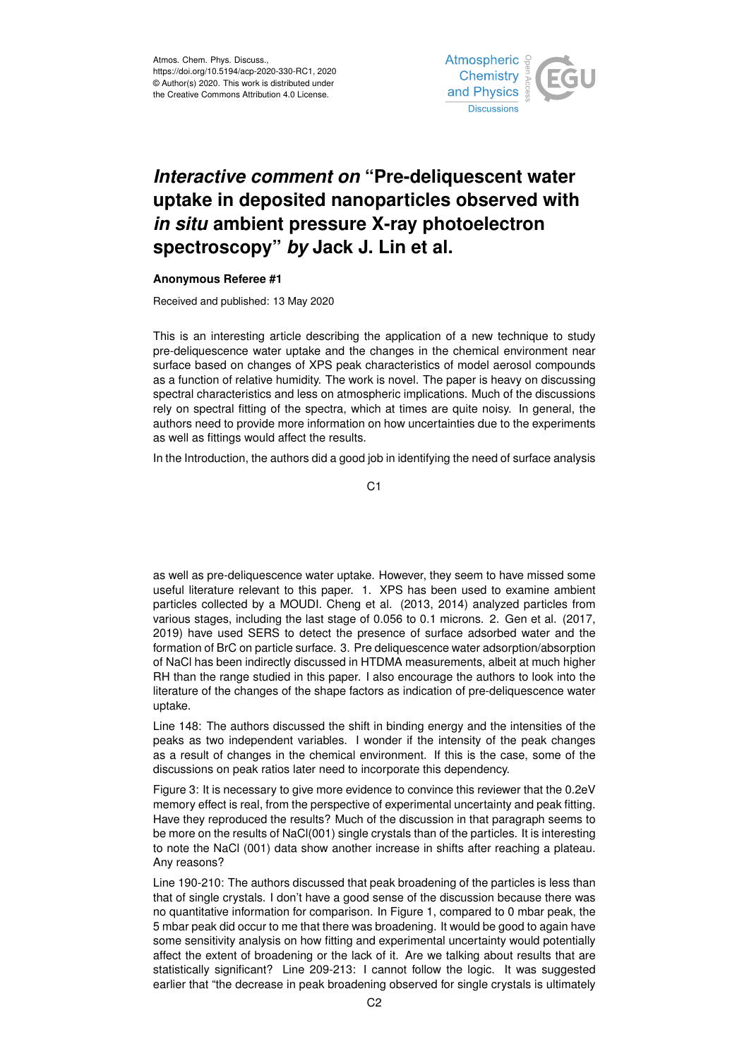

## *Interactive comment on* **"Pre-deliquescent water uptake in deposited nanoparticles observed with** *in situ* **ambient pressure X-ray photoelectron spectroscopy"** *by* **Jack J. Lin et al.**

## **Anonymous Referee #1**

Received and published: 13 May 2020

This is an interesting article describing the application of a new technique to study pre-deliquescence water uptake and the changes in the chemical environment near surface based on changes of XPS peak characteristics of model aerosol compounds as a function of relative humidity. The work is novel. The paper is heavy on discussing spectral characteristics and less on atmospheric implications. Much of the discussions rely on spectral fitting of the spectra, which at times are quite noisy. In general, the authors need to provide more information on how uncertainties due to the experiments as well as fittings would affect the results.

In the Introduction, the authors did a good job in identifying the need of surface analysis

C1

as well as pre-deliquescence water uptake. However, they seem to have missed some useful literature relevant to this paper. 1. XPS has been used to examine ambient particles collected by a MOUDI. Cheng et al. (2013, 2014) analyzed particles from various stages, including the last stage of 0.056 to 0.1 microns. 2. Gen et al. (2017, 2019) have used SERS to detect the presence of surface adsorbed water and the formation of BrC on particle surface. 3. Pre deliquescence water adsorption/absorption of NaCl has been indirectly discussed in HTDMA measurements, albeit at much higher RH than the range studied in this paper. I also encourage the authors to look into the literature of the changes of the shape factors as indication of pre-deliquescence water uptake.

Line 148: The authors discussed the shift in binding energy and the intensities of the peaks as two independent variables. I wonder if the intensity of the peak changes as a result of changes in the chemical environment. If this is the case, some of the discussions on peak ratios later need to incorporate this dependency.

Figure 3: It is necessary to give more evidence to convince this reviewer that the 0.2eV memory effect is real, from the perspective of experimental uncertainty and peak fitting. Have they reproduced the results? Much of the discussion in that paragraph seems to be more on the results of NaCl(001) single crystals than of the particles. It is interesting to note the NaCl (001) data show another increase in shifts after reaching a plateau. Any reasons?

Line 190-210: The authors discussed that peak broadening of the particles is less than that of single crystals. I don't have a good sense of the discussion because there was no quantitative information for comparison. In Figure 1, compared to 0 mbar peak, the 5 mbar peak did occur to me that there was broadening. It would be good to again have some sensitivity analysis on how fitting and experimental uncertainty would potentially affect the extent of broadening or the lack of it. Are we talking about results that are statistically significant? Line 209-213: I cannot follow the logic. It was suggested earlier that "the decrease in peak broadening observed for single crystals is ultimately